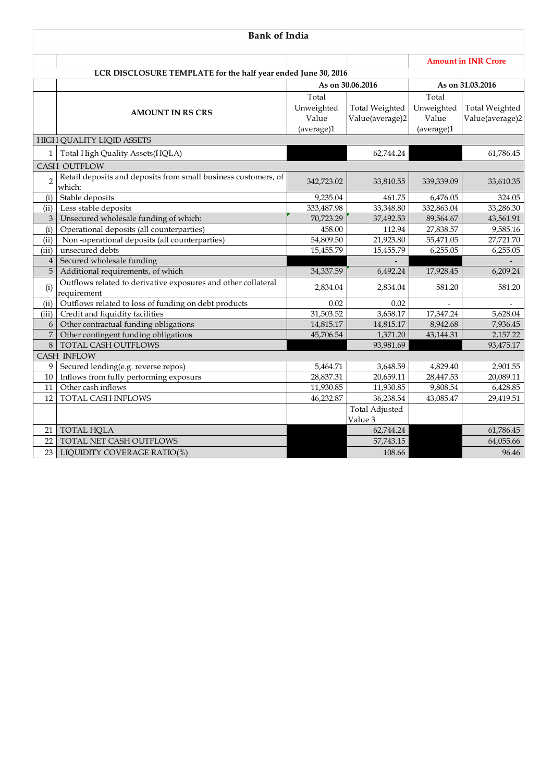| <b>Bank of India</b> |                                                                              |                     |                                  |                            |                       |  |  |  |  |
|----------------------|------------------------------------------------------------------------------|---------------------|----------------------------------|----------------------------|-----------------------|--|--|--|--|
|                      |                                                                              |                     |                                  | <b>Amount in INR Crore</b> |                       |  |  |  |  |
|                      | LCR DISCLOSURE TEMPLATE for the half year ended June 30, 2016                |                     |                                  |                            |                       |  |  |  |  |
|                      |                                                                              | As on 30.06.2016    |                                  |                            | As on 31.03.2016      |  |  |  |  |
|                      |                                                                              | Total               |                                  | Total                      |                       |  |  |  |  |
|                      |                                                                              | Unweighted          | <b>Total Weighted</b>            | Unweighted                 | <b>Total Weighted</b> |  |  |  |  |
|                      | <b>AMOUNT IN RS CRS</b>                                                      | Value<br>(average)1 | Value(average)2                  | Value<br>(average)1        | Value(average)2       |  |  |  |  |
|                      | <b>HIGH QUALITY LIQID ASSETS</b>                                             |                     |                                  |                            |                       |  |  |  |  |
| $\mathbf{1}$         | Total High Quality Assets(HQLA)                                              |                     | 62,744.24                        |                            | 61,786.45             |  |  |  |  |
|                      | <b>CASH OUTFLOW</b>                                                          |                     |                                  |                            |                       |  |  |  |  |
| $\overline{2}$       | Retail deposits and deposits from small business customers, of<br>which:     | 342,723.02          | 33,810.55                        | 339,339.09                 | 33,610.35             |  |  |  |  |
| (i)                  | Stable deposits                                                              | 9.235.04            | 461.75                           | 6,476.05                   | 324.05                |  |  |  |  |
| (ii)                 | Less stable deposits                                                         | 333,487.98          | 33,348.80                        | 332,863.04                 | 33,286.30             |  |  |  |  |
| 3                    | Unsecured wholesale funding of which:                                        | 70,723.29           | 37,492.53                        | 89,564.67                  | 43,561.91             |  |  |  |  |
| (i)                  | Operational deposits (all counterparties)                                    | 458.00              | 112.94                           | 27,838.57                  | 9,585.16              |  |  |  |  |
| (ii)                 | Non-operational deposits (all counterparties)                                | 54,809.50           | 21,923.80                        | 55,471.05                  | 27,721.70             |  |  |  |  |
| (iii)                | unsecured debts                                                              | 15,455.79           | 15,455.79                        | 6,255.05                   | 6,255.05              |  |  |  |  |
| $\overline{4}$       | Secured wholesale funding                                                    |                     |                                  |                            |                       |  |  |  |  |
| 5                    | Additional requirements, of which                                            | 34,337.59           | 6,492.24                         | 17,928.45                  | 6,209.24              |  |  |  |  |
| (i)                  | Outflows related to derivative exposures and other collateral<br>requirement | 2,834.04            | 2,834.04                         | 581.20                     | 581.20                |  |  |  |  |
| (ii)                 | Outflows related to loss of funding on debt products                         | 0.02                | 0.02                             |                            |                       |  |  |  |  |
| (iii)                | Credit and liquidity facilities                                              | 31,503.52           | 3,658.17                         | 17,347.24                  | 5,628.04              |  |  |  |  |
| 6                    | Other contractual funding obligations                                        | 14,815.17           | 14,815.17                        | 8,942.68                   | 7,936.45              |  |  |  |  |
| $\overline{7}$       | Other contingent funding obligations                                         | 45,706.54           | 1,371.20                         | 43,144.31                  | 2,157.22              |  |  |  |  |
| 8                    | <b>TOTAL CASH OUTFLOWS</b>                                                   |                     | 93,981.69                        |                            | 93,475.17             |  |  |  |  |
|                      | <b>CASH INFLOW</b>                                                           |                     |                                  |                            |                       |  |  |  |  |
| 9                    | Secured lending(e.g. reverse repos)                                          | 5,464.71            | 3,648.59                         | 4,829.40                   | 2,901.55              |  |  |  |  |
| 10                   | Inflows from fully performing exposurs                                       | 28,837.31           | 20,659.11                        | 28,447.53                  | 20,089.11             |  |  |  |  |
| 11                   | Other cash inflows                                                           | 11,930.85           | 11,930.85                        | 9,808.54                   | 6,428.85              |  |  |  |  |
| 12                   | TOTAL CASH INFLOWS                                                           | 46,232.87           | 36,238.54                        | 43,085.47                  | 29,419.51             |  |  |  |  |
|                      |                                                                              |                     | <b>Total Adjusted</b><br>Value 3 |                            |                       |  |  |  |  |
| 21                   | <b>TOTAL HQLA</b>                                                            |                     | 62,744.24                        |                            | 61,786.45             |  |  |  |  |
| 22                   | TOTAL NET CASH OUTFLOWS                                                      |                     | 57,743.15                        |                            | 64,055.66             |  |  |  |  |
| 23                   | LIQUIDITY COVERAGE RATIO(%)                                                  |                     | 108.66                           |                            | 96.46                 |  |  |  |  |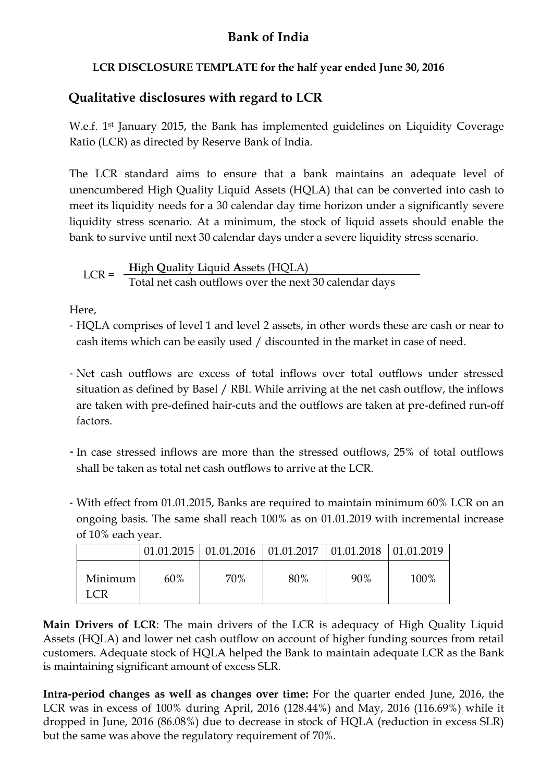## **Bank of India**

## **LCR DISCLOSURE TEMPLATE for the half year ended June 30, 2016**

## **Qualitative disclosures with regard to LCR**

W.e.f. 1st January 2015, the Bank has implemented guidelines on Liquidity Coverage Ratio (LCR) as directed by Reserve Bank of India.

The LCR standard aims to ensure that a bank maintains an adequate level of unencumbered High Quality Liquid Assets (HQLA) that can be converted into cash to meet its liquidity needs for a 30 calendar day time horizon under a significantly severe liquidity stress scenario. At a minimum, the stock of liquid assets should enable the bank to survive until next 30 calendar days under a severe liquidity stress scenario.

LCR =  $\frac{\text{High Quality Liquid Assets (HQLA)}}{\text{Total net cash outflows over the next 30 calendar days}}$ 

Here,

- HQLA comprises of level 1 and level 2 assets, in other words these are cash or near to cash items which can be easily used / discounted in the market in case of need.
- Net cash outflows are excess of total inflows over total outflows under stressed situation as defined by Basel / RBI. While arriving at the net cash outflow, the inflows are taken with pre-defined hair-cuts and the outflows are taken at pre-defined run-off factors.
- In case stressed inflows are more than the stressed outflows, 25% of total outflows shall be taken as total net cash outflows to arrive at the LCR.
- With effect from 01.01.2015, Banks are required to maintain minimum 60% LCR on an ongoing basis. The same shall reach 100% as on 01.01.2019 with incremental increase of 10% each year.

|                |     |     | $\mid$ 01.01.2015   01.01.2016   01.01.2017   01.01.2018   01.01.2019 |     |      |
|----------------|-----|-----|-----------------------------------------------------------------------|-----|------|
| Minimum<br>LCR | 60% | 70% | 80%                                                                   | 90% | 100% |

**Main Drivers of LCR**: The main drivers of the LCR is adequacy of High Quality Liquid Assets (HQLA) and lower net cash outflow on account of higher funding sources from retail customers. Adequate stock of HQLA helped the Bank to maintain adequate LCR as the Bank is maintaining significant amount of excess SLR.

**Intra-period changes as well as changes over time:** For the quarter ended June, 2016, the LCR was in excess of 100% during April, 2016 (128.44%) and May, 2016 (116.69%) while it dropped in June, 2016 (86.08%) due to decrease in stock of HQLA (reduction in excess SLR) but the same was above the regulatory requirement of 70%.